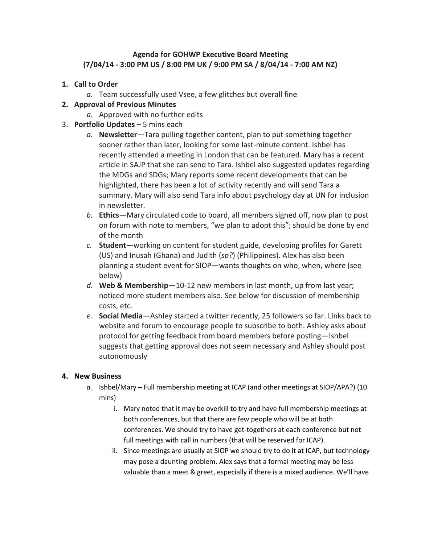## **Agenda for GOHWP Executive Board Meeting (7/04/14 - 3:00 PM US / 8:00 PM UK / 9:00 PM SA / 8/04/14 - 7:00 AM NZ)**

- **1. Call to Order**
	- *a.* Team successfully used Vsee, a few glitches but overall fine

## **2. Approval of Previous Minutes**

- *a.* Approved with no further edits
- 3. **Portfolio Updates** 5 mins each
	- *a.* **Newsletter**—Tara pulling together content, plan to put something together sooner rather than later, looking for some last-minute content. Ishbel has recently attended a meeting in London that can be featured. Mary has a recent article in SAJP that she can send to Tara. Ishbel also suggested updates regarding the MDGs and SDGs; Mary reports some recent developments that can be highlighted, there has been a lot of activity recently and will send Tara a summary. Mary will also send Tara info about psychology day at UN for inclusion in newsletter.
	- *b.* **Ethics**—Mary circulated code to board, all members signed off, now plan to post on forum with note to members, "we plan to adopt this"; should be done by end of the month
	- *c.* **Student**—working on content for student guide, developing profiles for Garett (US) and Inusah (Ghana) and Judith (*sp?*) (Philippines). Alex has also been planning a student event for SIOP—wants thoughts on who, when, where (see below)
	- *d.* **Web & Membership**—10-12 new members in last month, up from last year; noticed more student members also. See below for discussion of membership costs, etc.
	- *e.* **Social Media**—Ashley started a twitter recently, 25 followers so far. Links back to website and forum to encourage people to subscribe to both. Ashley asks about protocol for getting feedback from board members before posting—Ishbel suggests that getting approval does not seem necessary and Ashley should post autonomously

## **4. New Business**

- *a.* Ishbel/Mary Full membership meeting at ICAP (and other meetings at SIOP/APA?) (10 mins)
	- i. Mary noted that it may be overkill to try and have full membership meetings at both conferences, but that there are few people who will be at both conferences. We should try to have get-togethers at each conference but not full meetings with call in numbers (that will be reserved for ICAP).
	- ii. Since meetings are usually at SIOP we should try to do it at ICAP, but technology may pose a daunting problem. Alex says that a formal meeting may be less valuable than a meet & greet, especially if there is a mixed audience. We'll have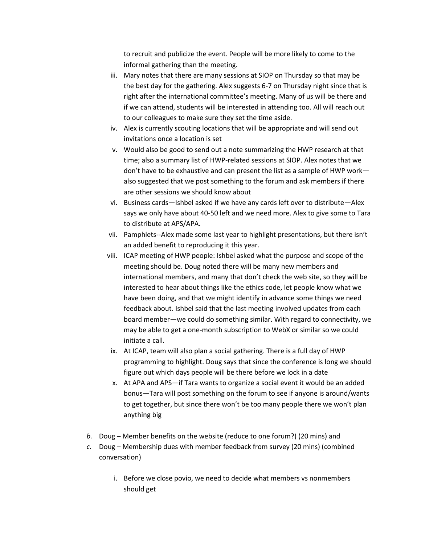to recruit and publicize the event. People will be more likely to come to the informal gathering than the meeting.

- iii. Mary notes that there are many sessions at SIOP on Thursday so that may be the best day for the gathering. Alex suggests 6-7 on Thursday night since that is right after the international committee's meeting. Many of us will be there and if we can attend, students will be interested in attending too. All will reach out to our colleagues to make sure they set the time aside.
- iv. Alex is currently scouting locations that will be appropriate and will send out invitations once a location is set
- v. Would also be good to send out a note summarizing the HWP research at that time; also a summary list of HWP-related sessions at SIOP. Alex notes that we don't have to be exhaustive and can present the list as a sample of HWP work also suggested that we post something to the forum and ask members if there are other sessions we should know about
- vi. Business cards—Ishbel asked if we have any cards left over to distribute—Alex says we only have about 40-50 left and we need more. Alex to give some to Tara to distribute at APS/APA.
- vii. Pamphlets--Alex made some last year to highlight presentations, but there isn't an added benefit to reproducing it this year.
- viii. ICAP meeting of HWP people: Ishbel asked what the purpose and scope of the meeting should be. Doug noted there will be many new members and international members, and many that don't check the web site, so they will be interested to hear about things like the ethics code, let people know what we have been doing, and that we might identify in advance some things we need feedback about. Ishbel said that the last meeting involved updates from each board member—we could do something similar. With regard to connectivity, we may be able to get a one-month subscription to WebX or similar so we could initiate a call.
- ix. At ICAP, team will also plan a social gathering. There is a full day of HWP programming to highlight. Doug says that since the conference is long we should figure out which days people will be there before we lock in a date
- x. At APA and APS—if Tara wants to organize a social event it would be an added bonus—Tara will post something on the forum to see if anyone is around/wants to get together, but since there won't be too many people there we won't plan anything big
- *b.* Doug Member benefits on the website (reduce to one forum?) (20 mins) and
- *c.* Doug Membership dues with member feedback from survey (20 mins) (combined conversation)
	- i. Before we close povio, we need to decide what members vs nonmembers should get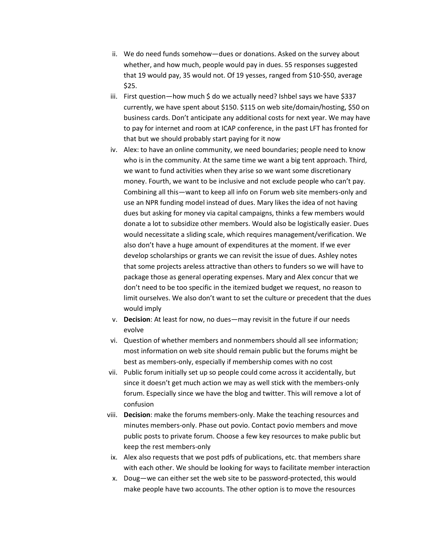- ii. We do need funds somehow—dues or donations. Asked on the survey about whether, and how much, people would pay in dues. 55 responses suggested that 19 would pay, 35 would not. Of 19 yesses, ranged from \$10-\$50, average \$25.
- iii. First question—how much \$ do we actually need? Ishbel says we have \$337 currently, we have spent about \$150. \$115 on web site/domain/hosting, \$50 on business cards. Don't anticipate any additional costs for next year. We may have to pay for internet and room at ICAP conference, in the past LFT has fronted for that but we should probably start paying for it now
- iv. Alex: to have an online community, we need boundaries; people need to know who is in the community. At the same time we want a big tent approach. Third, we want to fund activities when they arise so we want some discretionary money. Fourth, we want to be inclusive and not exclude people who can't pay. Combining all this—want to keep all info on Forum web site members-only and use an NPR funding model instead of dues. Mary likes the idea of not having dues but asking for money via capital campaigns, thinks a few members would donate a lot to subsidize other members. Would also be logistically easier. Dues would necessitate a sliding scale, which requires management/verification. We also don't have a huge amount of expenditures at the moment. If we ever develop scholarships or grants we can revisit the issue of dues. Ashley notes that some projects areless attractive than others to funders so we will have to package those as general operating expenses. Mary and Alex concur that we don't need to be too specific in the itemized budget we request, no reason to limit ourselves. We also don't want to set the culture or precedent that the dues would imply
- v. **Decision**: At least for now, no dues—may revisit in the future if our needs evolve
- vi. Question of whether members and nonmembers should all see information; most information on web site should remain public but the forums might be best as members-only, especially if membership comes with no cost
- vii. Public forum initially set up so people could come across it accidentally, but since it doesn't get much action we may as well stick with the members-only forum. Especially since we have the blog and twitter. This will remove a lot of confusion
- viii. **Decision**: make the forums members-only. Make the teaching resources and minutes members-only. Phase out povio. Contact povio members and move public posts to private forum. Choose a few key resources to make public but keep the rest members-only
- ix. Alex also requests that we post pdfs of publications, etc. that members share with each other. We should be looking for ways to facilitate member interaction
- x. Doug—we can either set the web site to be password-protected, this would make people have two accounts. The other option is to move the resources